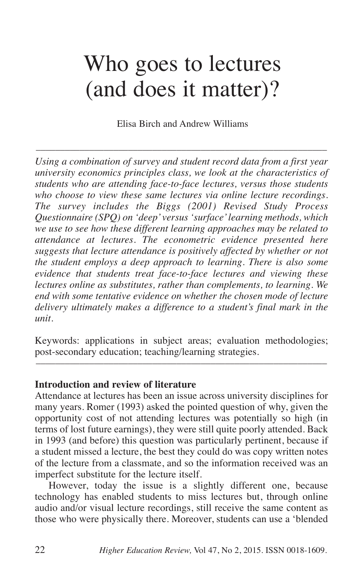# Who goes to lectures (and does it matter)?

Elisa Birch and Andrew Williams

––––––––––––––––––––––––––––––––––––––––––––––––––––––––––––

*Using a combination of survey and student record data from a first year university economics principles class, we look at the characteristics of students who are attending face-to-face lectures, versus those students who choose to view these same lectures via online lecture recordings. The survey includes the Biggs (2001) Revised Study Process Questionnaire (SPQ) on 'deep'versus 'surface'learning methods, which we use to see how these different learning approaches may be related to attendance at lectures. The econometric evidence presented here suggests that lecture attendance is positively affected by whether or not the student employs a deep approach to learning. There is also some evidence that students treat face-to-face lectures and viewing these lectures online as substitutes, rather than complements, to learning. We end with some tentative evidence on whether the chosen mode of lecture delivery ultimately makes a difference to a student's final mark in the unit.*

Keywords: applications in subject areas; evaluation methodologies; post-secondary education; teaching/learning strategies. ––––––––––––––––––––––––––––––––––––––––––––––––––––––––––––

### **Introduction and review of literature**

Attendance at lectures has been an issue across university disciplines for many years. Romer (1993) asked the pointed question of why, given the opportunity cost of not attending lectures was potentially so high (in terms of lost future earnings), they were still quite poorly attended. Back in 1993 (and before) this question was particularly pertinent, because if a student missed a lecture, the best they could do was copy written notes of the lecture from a classmate, and so the information received was an imperfect substitute for the lecture itself.

However, today the issue is a slightly different one, because technology has enabled students to miss lectures but, through online audio and/or visual lecture recordings, still receive the same content as those who were physically there. Moreover, students can use a 'blended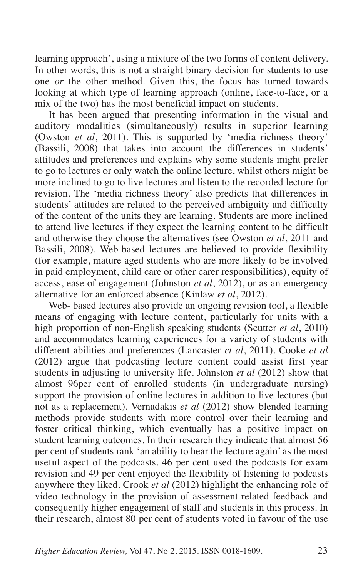learning approach', using a mixture of the two forms of content delivery. In other words, this is not a straight binary decision for students to use one *or* the other method. Given this, the focus has turned towards looking at which type of learning approach (online, face-to-face, or a mix of the two) has the most beneficial impact on students.

It has been argued that presenting information in the visual and auditory modalities (simultaneously) results in superior learning (Owston *et al*, 2011). This is supported by 'media richness theory' (Bassili, 2008) that takes into account the differences in students' attitudes and preferences and explains why some students might prefer to go to lectures or only watch the online lecture, whilst others might be more inclined to go to live lectures and listen to the recorded lecture for revision. The 'media richness theory' also predicts that differences in students' attitudes are related to the perceived ambiguity and difficulty of the content of the units they are learning. Students are more inclined to attend live lectures if they expect the learning content to be difficult and otherwise they choose the alternatives (see Owston *et al*, 2011 and Bassili, 2008). Web-based lectures are believed to provide flexibility (for example, mature aged students who are more likely to be involved in paid employment, child care or other carer responsibilities), equity of access, ease of engagement (Johnston *et al*, 2012), or as an emergency alternative for an enforced absence (Kinlaw *et al*, 2012).

Web- based lectures also provide an ongoing revision tool, a flexible means of engaging with lecture content, particularly for units with a high proportion of non-English speaking students (Scutter *et al*, 2010) and accommodates learning experiences for a variety of students with different abilities and preferences (Lancaster *et al*, 2011). Cooke *et al* (2012) argue that podcasting lecture content could assist first year students in adjusting to university life. Johnston *et al* (2012) show that almost 96per cent of enrolled students (in undergraduate nursing) support the provision of online lectures in addition to live lectures (but not as a replacement). Vernadakis *et al* (2012) show blended learning methods provide students with more control over their learning and foster critical thinking, which eventually has a positive impact on student learning outcomes. In their research they indicate that almost 56 per cent of students rank 'an ability to hear the lecture again' as the most useful aspect of the podcasts. 46 per cent used the podcasts for exam revision and 49 per cent enjoyed the flexibility of listening to podcasts anywhere they liked. Crook *et al* (2012) highlight the enhancing role of video technology in the provision of assessment-related feedback and consequently higher engagement of staff and students in this process. In their research, almost 80 per cent of students voted in favour of the use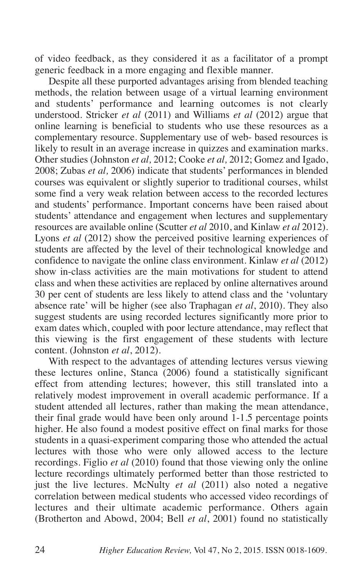of video feedback, as they considered it as a facilitator of a prompt generic feedback in a more engaging and flexible manner.

Despite all these purported advantages arising from blended teaching methods, the relation between usage of a virtual learning environment and students' performance and learning outcomes is not clearly understood. Stricker *et al* (2011) and Williams *et al* (2012) argue that online learning is beneficial to students who use these resources as a complementary resource. Supplementary use of web- based resources is likely to result in an average increase in quizzes and examination marks. Other studies (Johnston *et al,* 2012; Cooke *et al,* 2012; Gomez and Igado, 2008; Zubas *et al,* 2006) indicate that students' performances in blended courses was equivalent or slightly superior to traditional courses, whilst some find a very weak relation between access to the recorded lectures and students' performance. Important concerns have been raised about students' attendance and engagement when lectures and supplementary resources are available online (Scutter *et al* 2010, and Kinlaw *et al* 2012). Lyons *et al* (2012) show the perceived positive learning experiences of students are affected by the level of their technological knowledge and confidence to navigate the online class environment. Kinlaw *et al* (2012) show in-class activities are the main motivations for student to attend class and when these activities are replaced by online alternatives around 30 per cent of students are less likely to attend class and the 'voluntary absence rate' will be higher (see also Traphagan *et al*, 2010). They also suggest students are using recorded lectures significantly more prior to exam dates which, coupled with poor lecture attendance, may reflect that this viewing is the first engagement of these students with lecture content. (Johnston *et al*, 2012).

With respect to the advantages of attending lectures versus viewing these lectures online, Stanca (2006) found a statistically significant effect from attending lectures; however, this still translated into a relatively modest improvement in overall academic performance. If a student attended all lectures, rather than making the mean attendance, their final grade would have been only around 1-1.5 percentage points higher. He also found a modest positive effect on final marks for those students in a quasi-experiment comparing those who attended the actual lectures with those who were only allowed access to the lecture recordings. Figlio *et al* (2010) found that those viewing only the online lecture recordings ultimately performed better than those restricted to just the live lectures. McNulty *et al* (2011) also noted a negative correlation between medical students who accessed video recordings of lectures and their ultimate academic performance. Others again (Brotherton and Abowd, 2004; Bell *et al*, 2001) found no statistically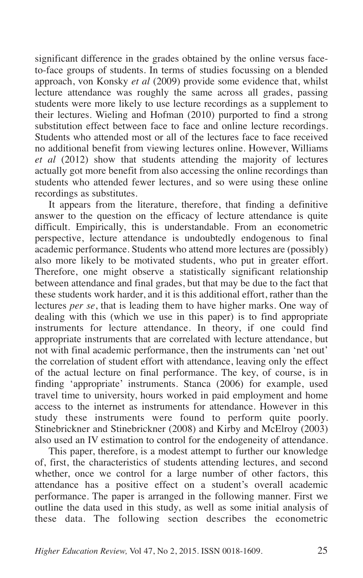significant difference in the grades obtained by the online versus faceto-face groups of students. In terms of studies focussing on a blended approach, von Konsky *et al* (2009) provide some evidence that, whilst lecture attendance was roughly the same across all grades, passing students were more likely to use lecture recordings as a supplement to their lectures. Wieling and Hofman (2010) purported to find a strong substitution effect between face to face and online lecture recordings. Students who attended most or all of the lectures face to face received no additional benefit from viewing lectures online. However, Williams *et al* (2012) show that students attending the majority of lectures actually got more benefit from also accessing the online recordings than students who attended fewer lectures, and so were using these online recordings as substitutes.

It appears from the literature, therefore, that finding a definitive answer to the question on the efficacy of lecture attendance is quite difficult. Empirically, this is understandable. From an econometric perspective, lecture attendance is undoubtedly endogenous to final academic performance. Students who attend more lectures are (possibly) also more likely to be motivated students, who put in greater effort. Therefore, one might observe a statistically significant relationship between attendance and final grades, but that may be due to the fact that these students work harder, and it is this additional effort, rather than the lectures *per se*, that is leading them to have higher marks. One way of dealing with this (which we use in this paper) is to find appropriate instruments for lecture attendance. In theory, if one could find appropriate instruments that are correlated with lecture attendance, but not with final academic performance, then the instruments can 'net out' the correlation of student effort with attendance, leaving only the effect of the actual lecture on final performance. The key, of course, is in finding 'appropriate' instruments. Stanca (2006) for example, used travel time to university, hours worked in paid employment and home access to the internet as instruments for attendance. However in this study these instruments were found to perform quite poorly. Stinebrickner and Stinebrickner (2008) and Kirby and McElroy (2003) also used an IV estimation to control for the endogeneity of attendance.

This paper, therefore, is a modest attempt to further our knowledge of, first, the characteristics of students attending lectures, and second whether, once we control for a large number of other factors, this attendance has a positive effect on a student's overall academic performance. The paper is arranged in the following manner. First we outline the data used in this study, as well as some initial analysis of these data. The following section describes the econometric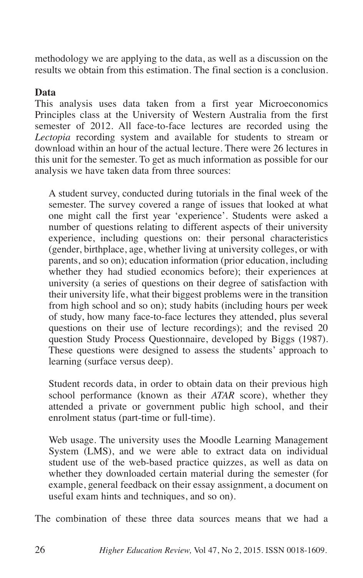methodology we are applying to the data, as well as a discussion on the results we obtain from this estimation. The final section is a conclusion.

# **Data**

This analysis uses data taken from a first year Microeconomics Principles class at the University of Western Australia from the first semester of 2012. All face-to-face lectures are recorded using the *Lectopia* recording system and available for students to stream or download within an hour of the actual lecture. There were 26 lectures in this unit for the semester. To get as much information as possible for our analysis we have taken data from three sources:

A student survey, conducted during tutorials in the final week of the semester. The survey covered a range of issues that looked at what one might call the first year 'experience'. Students were asked a number of questions relating to different aspects of their university experience, including questions on: their personal characteristics (gender, birthplace, age, whether living at university colleges, or with parents, and so on); education information (prior education, including whether they had studied economics before); their experiences at university (a series of questions on their degree of satisfaction with their university life, what their biggest problems were in the transition from high school and so on); study habits (including hours per week of study, how many face-to-face lectures they attended, plus several questions on their use of lecture recordings); and the revised 20 question Study Process Questionnaire, developed by Biggs (1987). These questions were designed to assess the students' approach to learning (surface versus deep).

Student records data, in order to obtain data on their previous high school performance (known as their *ATAR* score), whether they attended a private or government public high school, and their enrolment status (part-time or full-time).

Web usage. The university uses the Moodle Learning Management System (LMS), and we were able to extract data on individual student use of the web-based practice quizzes, as well as data on whether they downloaded certain material during the semester (for example, general feedback on their essay assignment, a document on useful exam hints and techniques, and so on).

The combination of these three data sources means that we had a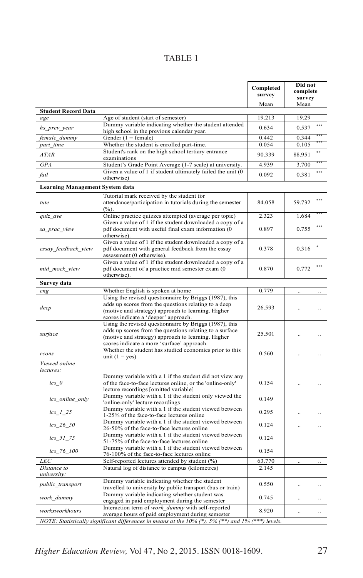# TABLE 1

|                                                                                                   |                                                                                                                                                                                                                       | Completed<br>survey | Did not<br>complete<br>survey     |  |  |  |
|---------------------------------------------------------------------------------------------------|-----------------------------------------------------------------------------------------------------------------------------------------------------------------------------------------------------------------------|---------------------|-----------------------------------|--|--|--|
| <b>Student Record Data</b>                                                                        |                                                                                                                                                                                                                       | Mean                | Mean                              |  |  |  |
| age                                                                                               | Age of student (start of semester)                                                                                                                                                                                    | 19.213              | 19.29                             |  |  |  |
| hs_prev_year                                                                                      | Dummy variable indicating whether the student attended<br>high school in the previous calendar year.                                                                                                                  | 0.634               | 0.537                             |  |  |  |
| female_dummy                                                                                      | Gender $(1 =$ female)                                                                                                                                                                                                 | 0.442               | 0.344                             |  |  |  |
| part_time                                                                                         | Whether the student is enrolled part-time.                                                                                                                                                                            | 0.054               | 0.105                             |  |  |  |
| <b>ATAR</b>                                                                                       | Student's rank on the high school tertiary entrance<br>examinations                                                                                                                                                   | 90.339              | 88.951                            |  |  |  |
| GPA                                                                                               | Student's Grade Point Average (1-7 scale) at university.                                                                                                                                                              | 4.939               | 3.700                             |  |  |  |
| fail                                                                                              | Given a value of 1 if student ultimately failed the unit (0<br>otherwise)                                                                                                                                             | 0.092               | ***<br>0.381                      |  |  |  |
| <b>Learning Management System data</b>                                                            |                                                                                                                                                                                                                       |                     |                                   |  |  |  |
| tute                                                                                              | Tutorial mark received by the student for<br>attendance/participation in tutorials during the semester<br>$(\%).$                                                                                                     | 84.058              | 59.732                            |  |  |  |
| quiz_ave                                                                                          | Online practice quizzes attempted (average per topic)                                                                                                                                                                 | 2.323               | 1.684                             |  |  |  |
| sa_prac_view                                                                                      | Given a value of 1 if the student downloaded a copy of a<br>pdf document with useful final exam information (0<br>otherwise).                                                                                         | 0.897               | 0.755                             |  |  |  |
| essay_feedback_view                                                                               | Given a value of 1 if the student downloaded a copy of a<br>pdf document with general feedback from the essay<br>assessment (0 otherwise).                                                                            | 0.378               | 0.316                             |  |  |  |
| mid_mock_view                                                                                     | Given a value of 1 if the student downloaded a copy of a<br>pdf document of a practice mid semester exam (0<br>otherwise).                                                                                            | 0.870               | 0.772                             |  |  |  |
| Survey data                                                                                       |                                                                                                                                                                                                                       |                     |                                   |  |  |  |
| eng                                                                                               | Whether English is spoken at home                                                                                                                                                                                     | 0.779               | $\ddot{\phantom{a}}$<br>$\ddotsc$ |  |  |  |
| deep                                                                                              | Using the revised questionnaire by Briggs (1987), this<br>adds up scores from the questions relating to a deep<br>(motive and strategy) approach to learning. Higher<br>scores indicate a 'deeper' approach.          | 26.593              | $\ddot{\phantom{a}}$              |  |  |  |
| surface                                                                                           | Using the revised questionnaire by Briggs (1987), this<br>adds up scores from the questions relating to a surface<br>(motive and strategy) approach to learning. Higher<br>scores indicate a more 'surface' approach. | 25.501              |                                   |  |  |  |
| econs                                                                                             | Whether the student has studied economics prior to this<br>unit $(1 = yes)$                                                                                                                                           | 0.560               | $\ddotsc$                         |  |  |  |
| Viewed online<br>lectures:                                                                        |                                                                                                                                                                                                                       |                     |                                   |  |  |  |
| $lcs$ 0                                                                                           | Dummy variable with a 1 if the student did not view any<br>of the face-to-face lectures online, or the 'online-only'<br>lecture recordings [omitted variable]                                                         | 0.154               |                                   |  |  |  |
| lcs online only                                                                                   | Dummy variable with a 1 if the student only viewed the<br>'online-only' lecture recordings                                                                                                                            | 0.149               |                                   |  |  |  |
| $\log 1.25$                                                                                       | Dummy variable with a 1 if the student viewed between<br>1-25% of the face-to-face lectures online                                                                                                                    | 0.295               |                                   |  |  |  |
| $lcs_226_50$                                                                                      | Dummy variable with a 1 if the student viewed between<br>26-50% of the face-to-face lectures online                                                                                                                   | 0.124               |                                   |  |  |  |
| lcs 51 75                                                                                         | Dummy variable with a 1 if the student viewed between<br>51-75% of the face-to-face lectures online                                                                                                                   | 0.124               |                                   |  |  |  |
| $lcs_{166}$ = 76 = 100                                                                            | Dummy variable with a 1 if the student viewed between<br>76-100% of the face-to-face lectures online                                                                                                                  | 0.154               |                                   |  |  |  |
| <b>LEC</b>                                                                                        | Self-reported lectures attended by student (%)                                                                                                                                                                        | 63.770              |                                   |  |  |  |
| Distance to                                                                                       | Natural log of distance to campus (kilometres)                                                                                                                                                                        | 2.145               |                                   |  |  |  |
| university:<br>public_transport                                                                   | Dummy variable indicating whether the student                                                                                                                                                                         | 0.550               |                                   |  |  |  |
|                                                                                                   | travelled to university by public transport (bus or train)<br>Dummy variable indicating whether student was                                                                                                           |                     | $\ddot{\phantom{a}}$<br>          |  |  |  |
| work dummy                                                                                        | engaged in paid employment during the semester<br>Interaction term of work dummy with self-reported                                                                                                                   | 0.745               | $\ddotsc$<br>$\ddotsc$            |  |  |  |
| workxworkhours                                                                                    | average hours of paid employment during semester                                                                                                                                                                      | 8.920               | $\ddotsc$<br>$\ddot{\phantom{0}}$ |  |  |  |
| NOTE: Statistically significant differences in means at the 10% (*), 5% (**) and 1% (***) levels. |                                                                                                                                                                                                                       |                     |                                   |  |  |  |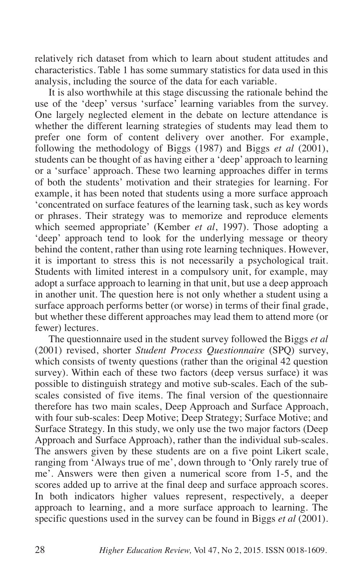relatively rich dataset from which to learn about student attitudes and characteristics. Table 1 has some summary statistics for data used in this analysis, including the source of the data for each variable.

It is also worthwhile at this stage discussing the rationale behind the use of the 'deep' versus 'surface' learning variables from the survey. One largely neglected element in the debate on lecture attendance is whether the different learning strategies of students may lead them to prefer one form of content delivery over another. For example, following the methodology of Biggs (1987) and Biggs *et al* (2001), students can be thought of as having either a 'deep' approach to learning or a 'surface' approach. These two learning approaches differ in terms of both the students' motivation and their strategies for learning. For example, it has been noted that students using a more surface approach 'concentrated on surface features of the learning task, such as key words or phrases. Their strategy was to memorize and reproduce elements which seemed appropriate' (Kember *et al*, 1997). Those adopting a 'deep' approach tend to look for the underlying message or theory behind the content, rather than using rote learning techniques. However, it is important to stress this is not necessarily a psychological trait. Students with limited interest in a compulsory unit, for example, may adopt a surface approach to learning in that unit, but use a deep approach in another unit. The question here is not only whether a student using a surface approach performs better (or worse) in terms of their final grade, but whether these different approaches may lead them to attend more (or fewer) lectures.

The questionnaire used in the student survey followed the Biggs *et al* (2001) revised, shorter *Student Process Questionnaire* (SPQ) survey, which consists of twenty questions (rather than the original 42 question survey). Within each of these two factors (deep versus surface) it was possible to distinguish strategy and motive sub-scales. Each of the subscales consisted of five items. The final version of the questionnaire therefore has two main scales, Deep Approach and Surface Approach, with four sub-scales: Deep Motive; Deep Strategy; Surface Motive; and Surface Strategy. In this study, we only use the two major factors (Deep Approach and Surface Approach), rather than the individual sub-scales. The answers given by these students are on a five point Likert scale, ranging from 'Always true of me', down through to 'Only rarely true of me'. Answers were then given a numerical score from 1-5, and the scores added up to arrive at the final deep and surface approach scores. In both indicators higher values represent, respectively, a deeper approach to learning, and a more surface approach to learning. The specific questions used in the survey can be found in Biggs *et al* (2001).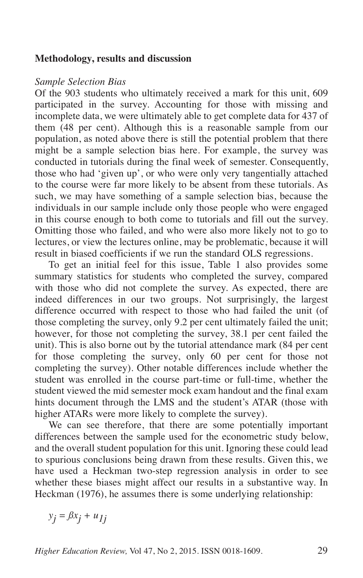### **Methodology, results and discussion**

#### *Sample Selection Bias*

Of the 903 students who ultimately received a mark for this unit, 609 participated in the survey. Accounting for those with missing and incomplete data, we were ultimately able to get complete data for 437 of them (48 per cent). Although this is a reasonable sample from our population, as noted above there is still the potential problem that there might be a sample selection bias here. For example, the survey was conducted in tutorials during the final week of semester. Consequently, those who had 'given up', or who were only very tangentially attached to the course were far more likely to be absent from these tutorials. As such, we may have something of a sample selection bias, because the individuals in our sample include only those people who were engaged in this course enough to both come to tutorials and fill out the survey. Omitting those who failed, and who were also more likely not to go to lectures, or view the lectures online, may be problematic, because it will result in biased coefficients if we run the standard OLS regressions.

To get an initial feel for this issue, Table 1 also provides some summary statistics for students who completed the survey, compared with those who did not complete the survey. As expected, there are indeed differences in our two groups. Not surprisingly, the largest difference occurred with respect to those who had failed the unit (of those completing the survey, only 9.2 per cent ultimately failed the unit; however, for those not completing the survey, 38.1 per cent failed the unit). This is also borne out by the tutorial attendance mark (84 per cent for those completing the survey, only 60 per cent for those not completing the survey). Other notable differences include whether the student was enrolled in the course part-time or full-time, whether the student viewed the mid semester mock exam handout and the final exam hints document through the LMS and the student's ATAR (those with higher ATARs were more likely to complete the survey).

We can see therefore, that there are some potentially important differences between the sample used for the econometric study below, and the overall student population for this unit. Ignoring these could lead to spurious conclusions being drawn from these results. Given this, we have used a Heckman two-step regression analysis in order to see whether these biases might affect our results in a substantive way. In Heckman (1976), he assumes there is some underlying relationship:

 $y_j = \beta x_j + u_{jj}$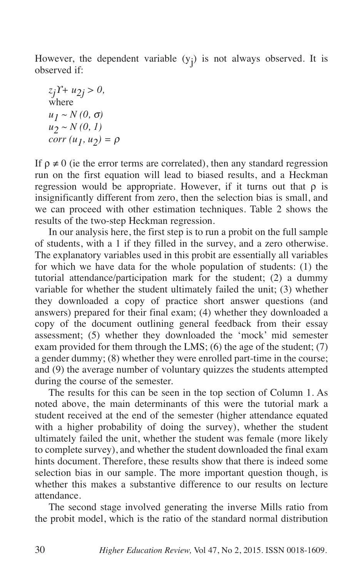However, the dependent variable  $(y_j)$  is not always observed. It is observed if:

$$
z_j Y + u_{2j} > 0,
$$
  
where  

$$
u_1 \sim N(0, \sigma)
$$
  

$$
u_2 \sim N(0, 1)
$$
  
corr 
$$
(u_1, u_2) = \rho
$$

If  $\rho \neq 0$  (ie the error terms are correlated), then any standard regression run on the first equation will lead to biased results, and a Heckman regression would be appropriate. However, if it turns out that  $\rho$  is insignificantly different from zero, then the selection bias is small, and we can proceed with other estimation techniques. Table 2 shows the results of the two-step Heckman regression.

In our analysis here, the first step is to run a probit on the full sample of students, with a 1 if they filled in the survey, and a zero otherwise. The explanatory variables used in this probit are essentially all variables for which we have data for the whole population of students: (1) the tutorial attendance/participation mark for the student; (2) a dummy variable for whether the student ultimately failed the unit; (3) whether they downloaded a copy of practice short answer questions (and answers) prepared for their final exam; (4) whether they downloaded a copy of the document outlining general feedback from their essay assessment; (5) whether they downloaded the 'mock' mid semester exam provided for them through the LMS;  $(6)$  the age of the student;  $(7)$ a gender dummy; (8) whether they were enrolled part-time in the course; and (9) the average number of voluntary quizzes the students attempted during the course of the semester.

The results for this can be seen in the top section of Column 1. As noted above, the main determinants of this were the tutorial mark a student received at the end of the semester (higher attendance equated with a higher probability of doing the survey), whether the student ultimately failed the unit, whether the student was female (more likely to complete survey), and whether the student downloaded the final exam hints document. Therefore, these results show that there is indeed some selection bias in our sample. The more important question though, is whether this makes a substantive difference to our results on lecture attendance.

The second stage involved generating the inverse Mills ratio from the probit model, which is the ratio of the standard normal distribution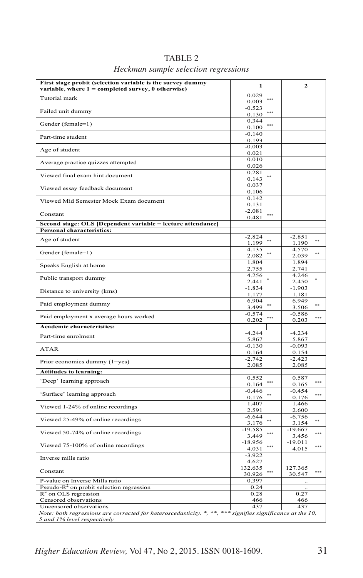| First stage probit (selection variable is the survey dummy<br>variable, where 1 = completed survey, 0 otherwise)                           | 1                               | $\mathbf{2}$                   |  |  |
|--------------------------------------------------------------------------------------------------------------------------------------------|---------------------------------|--------------------------------|--|--|
| Tutorial mark                                                                                                                              | 0.029<br>***<br>0.003           |                                |  |  |
| Failed unit dummy                                                                                                                          | $-0.523$<br>***<br>0.130        |                                |  |  |
| Gender (female=1)                                                                                                                          | 0.344<br>$\cdots$<br>0.100      |                                |  |  |
| Part-time student                                                                                                                          | $-0.140$<br>0.193               |                                |  |  |
| Age of student                                                                                                                             | $-0.003$<br>0.021               |                                |  |  |
| Average practice quizzes attempted                                                                                                         | 0.010<br>0.026                  |                                |  |  |
| Viewed final exam hint document                                                                                                            | 0.281<br>$\frac{1}{2}$<br>0.143 |                                |  |  |
| Viewed essay feedback document                                                                                                             | 0.037<br>0.106                  |                                |  |  |
| Viewed Mid Semester Mock Exam document                                                                                                     | 0.142<br>0.131                  |                                |  |  |
| Constant                                                                                                                                   | $-2.081$<br>***<br>0.481        |                                |  |  |
| Second stage: OLS [Dependent variable = lecture attendance]                                                                                |                                 |                                |  |  |
| Personal characteristics:                                                                                                                  | $-2.824$                        | $-2.851$                       |  |  |
| Age of student                                                                                                                             | $+ +$<br>1.199                  | $\bullet\star$<br>1.190        |  |  |
| Gender (female=1)                                                                                                                          | 4.135<br>$\bullet$<br>2.082     | 4.570<br>$\bullet$<br>2.039    |  |  |
| Speaks English at home                                                                                                                     | 1.804<br>2.755                  | 1.894<br>2.741                 |  |  |
| Public transport dummy                                                                                                                     | 4.256<br>2.441                  | 4.246<br>2.450                 |  |  |
| Distance to university (kms)                                                                                                               | $-1.834$<br>1.177               | $-1.903$<br>1.181              |  |  |
| Paid employment dummy                                                                                                                      | 6.904<br>**<br>3.499            | 6.949<br>$\pm$ $\pm$<br>3.506  |  |  |
| Paid employment x average hours worked                                                                                                     | $-0.574$<br>***<br>0.202        | $-0.586$<br><br>0.203          |  |  |
| Academic characteristics:                                                                                                                  |                                 |                                |  |  |
| Part-time enrolment                                                                                                                        | $-4.244$<br>5.867               | $-4.234$<br>5.867              |  |  |
| <b>ATAR</b>                                                                                                                                | $-0.130$<br>0.164               | $-0.093$<br>0.154              |  |  |
| Prior economics dummy (1=yes)                                                                                                              | $-2.742$<br>2.085               | $-2.423$<br>2.085              |  |  |
| <b>Attitudes to learning:</b>                                                                                                              |                                 |                                |  |  |
| 'Deep' learning approach                                                                                                                   | 0.552<br>***<br>0.164           | 0.587<br>***<br>0.165          |  |  |
| 'Surface' learning approach                                                                                                                | $-0.446$<br>$+ +$<br>0.176      | $-0.454$<br>***<br>0.176       |  |  |
| Viewed 1-24% of online recordings                                                                                                          | 1.407<br>2.591                  | 1.466<br>2.600                 |  |  |
| Viewed 25-49% of online recordings                                                                                                         | $-6.644$<br>$\pm$<br>3.176      | $-6.756$<br>$\bullet$<br>3.154 |  |  |
| Viewed 50-74% of online recordings                                                                                                         | $-19.585$<br>***<br>3.449       | $-19.667$<br>***<br>3.456      |  |  |
| Viewed 75-100% of online recordings                                                                                                        | $-18.956$<br>***<br>4.031       | $-19.011$<br>***<br>4.015      |  |  |
| Inverse mills ratio                                                                                                                        | $-3.922$<br>4.627               |                                |  |  |
| Constant                                                                                                                                   | 132.635<br><br>30.926           | 127.365<br>***<br>30.547       |  |  |
| P-value on Inverse Mills ratio                                                                                                             | 0.397                           |                                |  |  |
| Pseudo- $R^2$ on probit selection regression                                                                                               | 0.24                            |                                |  |  |
| $R^2$ on OLS regression<br>Censored observations                                                                                           | 0.28<br>466                     | 0.27<br>466                    |  |  |
| Uncensored observations                                                                                                                    | 437                             | 437                            |  |  |
| Note: both regressions are corrected for heteroscedasticity. $*,$ **, *** signifies significance at the 10,<br>5 and 1% level respectively |                                 |                                |  |  |

# TABLE 2

# *Heckman sample selection regressions*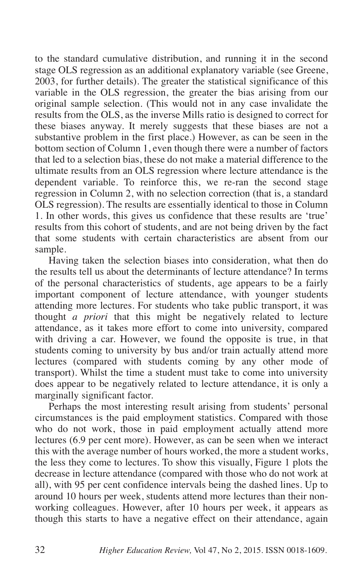to the standard cumulative distribution, and running it in the second stage OLS regression as an additional explanatory variable (see Greene, 2003, for further details). The greater the statistical significance of this variable in the OLS regression, the greater the bias arising from our original sample selection. (This would not in any case invalidate the results from the OLS, as the inverse Mills ratio is designed to correct for these biases anyway. It merely suggests that these biases are not a substantive problem in the first place.) However, as can be seen in the bottom section of Column 1, even though there were a number of factors that led to a selection bias, these do not make a material difference to the ultimate results from an OLS regression where lecture attendance is the dependent variable. To reinforce this, we re-ran the second stage regression in Column 2, with no selection correction (that is, a standard OLS regression). The results are essentially identical to those in Column 1. In other words, this gives us confidence that these results are 'true' results from this cohort of students, and are not being driven by the fact that some students with certain characteristics are absent from our sample.

Having taken the selection biases into consideration, what then do the results tell us about the determinants of lecture attendance? In terms of the personal characteristics of students, age appears to be a fairly important component of lecture attendance, with younger students attending more lectures. For students who take public transport, it was thought *a priori* that this might be negatively related to lecture attendance, as it takes more effort to come into university, compared with driving a car. However, we found the opposite is true, in that students coming to university by bus and/or train actually attend more lectures (compared with students coming by any other mode of transport). Whilst the time a student must take to come into university does appear to be negatively related to lecture attendance, it is only a marginally significant factor.

Perhaps the most interesting result arising from students' personal circumstances is the paid employment statistics. Compared with those who do not work, those in paid employment actually attend more lectures (6.9 per cent more). However, as can be seen when we interact this with the average number of hours worked, the more a student works, the less they come to lectures. To show this visually, Figure 1 plots the decrease in lecture attendance (compared with those who do not work at all), with 95 per cent confidence intervals being the dashed lines. Up to around 10 hours per week, students attend more lectures than their nonworking colleagues. However, after 10 hours per week, it appears as though this starts to have a negative effect on their attendance, again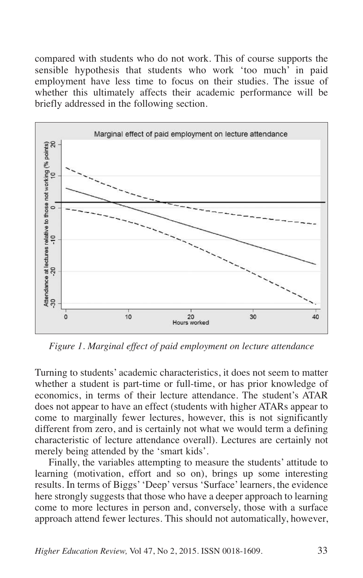compared with students who do not work. This of course supports the sensible hypothesis that students who work 'too much' in paid employment have less time to focus on their studies. The issue of whether this ultimately affects their academic performance will be briefly addressed in the following section.



*Figure 1. Marginal effect of paid employment on lecture attendance*

Turning to students' academic characteristics, it does not seem to matter whether a student is part-time or full-time, or has prior knowledge of economics, in terms of their lecture attendance. The student's ATAR does not appear to have an effect (students with higher ATARs appear to come to marginally fewer lectures, however, this is not significantly different from zero, and is certainly not what we would term a defining characteristic of lecture attendance overall). Lectures are certainly not merely being attended by the 'smart kids'.

Finally, the variables attempting to measure the students' attitude to learning (motivation, effort and so on), brings up some interesting results. In terms of Biggs''Deep' versus 'Surface'learners, the evidence here strongly suggests that those who have a deeper approach to learning come to more lectures in person and, conversely, those with a surface approach attend fewer lectures. This should not automatically, however,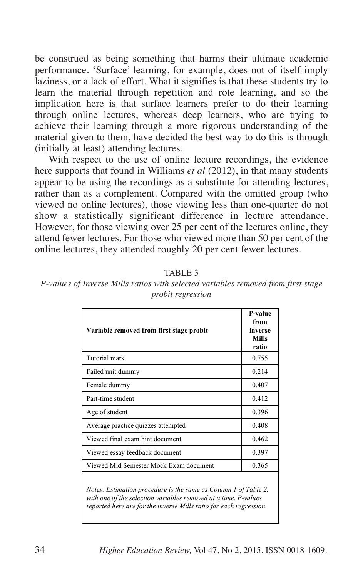be construed as being something that harms their ultimate academic performance. 'Surface' learning, for example, does not of itself imply laziness, or a lack of effort. What it signifies is that these students try to learn the material through repetition and rote learning, and so the implication here is that surface learners prefer to do their learning through online lectures, whereas deep learners, who are trying to achieve their learning through a more rigorous understanding of the material given to them, have decided the best way to do this is through (initially at least) attending lectures.

With respect to the use of online lecture recordings, the evidence here supports that found in Williams *et al* (2012), in that many students appear to be using the recordings as a substitute for attending lectures, rather than as a complement. Compared with the omitted group (who viewed no online lectures), those viewing less than one-quarter do not show a statistically significant difference in lecture attendance. However, for those viewing over 25 per cent of the lectures online, they attend fewer lectures. For those who viewed more than 50 per cent of the online lectures, they attended roughly 20 per cent fewer lectures.

| Variable removed from first stage probit                                                                                                                                                                 | P-value<br>from<br>inverse<br><b>Mills</b><br>ratio |  |  |  |
|----------------------------------------------------------------------------------------------------------------------------------------------------------------------------------------------------------|-----------------------------------------------------|--|--|--|
| Tutorial mark                                                                                                                                                                                            | 0.755                                               |  |  |  |
| Failed unit dummy                                                                                                                                                                                        | 0.214                                               |  |  |  |
| Female dummy                                                                                                                                                                                             | 0.407                                               |  |  |  |
| Part-time student                                                                                                                                                                                        | 0.412                                               |  |  |  |
| Age of student                                                                                                                                                                                           | 0.396                                               |  |  |  |
| Average practice quizzes attempted                                                                                                                                                                       | 0.408                                               |  |  |  |
| Viewed final exam hint document                                                                                                                                                                          | 0.462                                               |  |  |  |
| Viewed essay feedback document                                                                                                                                                                           | 0.397                                               |  |  |  |
| Viewed Mid Semester Mock Exam document                                                                                                                                                                   | 0.365                                               |  |  |  |
| Notes: Estimation procedure is the same as Column 1 of Table 2,<br>with one of the selection variables removed at a time. P-values<br>reported here are for the inverse Mills ratio for each regression. |                                                     |  |  |  |

TABLE 3

*P-values of Inverse Mills ratios with selected variables removed from first stage probit regression*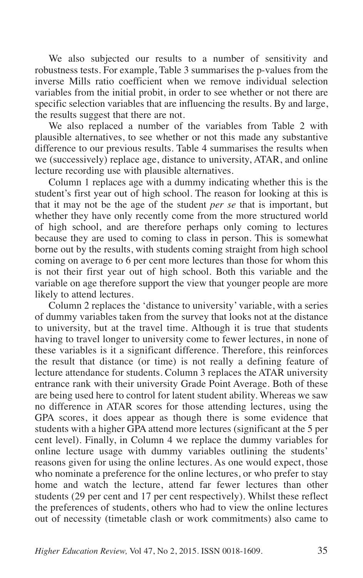We also subjected our results to a number of sensitivity and robustness tests. For example, Table 3 summarises the p-values from the inverse Mills ratio coefficient when we remove individual selection variables from the initial probit, in order to see whether or not there are specific selection variables that are influencing the results. By and large, the results suggest that there are not.

We also replaced a number of the variables from Table 2 with plausible alternatives, to see whether or not this made any substantive difference to our previous results. Table 4 summarises the results when we (successively) replace age, distance to university, ATAR, and online lecture recording use with plausible alternatives.

Column 1 replaces age with a dummy indicating whether this is the student's first year out of high school. The reason for looking at this is that it may not be the age of the student *per se* that is important, but whether they have only recently come from the more structured world of high school, and are therefore perhaps only coming to lectures because they are used to coming to class in person. This is somewhat borne out by the results, with students coming straight from high school coming on average to 6 per cent more lectures than those for whom this is not their first year out of high school. Both this variable and the variable on age therefore support the view that younger people are more likely to attend lectures.

Column 2 replaces the 'distance to university' variable, with a series of dummy variables taken from the survey that looks not at the distance to university, but at the travel time. Although it is true that students having to travel longer to university come to fewer lectures, in none of these variables is it a significant difference. Therefore, this reinforces the result that distance (or time) is not really a defining feature of lecture attendance for students. Column 3 replaces the ATAR university entrance rank with their university Grade Point Average. Both of these are being used here to control for latent student ability. Whereas we saw no difference in ATAR scores for those attending lectures, using the GPA scores, it does appear as though there is some evidence that students with a higher GPA attend more lectures (significant at the 5 per cent level). Finally, in Column 4 we replace the dummy variables for online lecture usage with dummy variables outlining the students' reasons given for using the online lectures. As one would expect, those who nominate a preference for the online lectures, or who prefer to stay home and watch the lecture, attend far fewer lectures than other students (29 per cent and 17 per cent respectively). Whilst these reflect the preferences of students, others who had to view the online lectures out of necessity (timetable clash or work commitments) also came to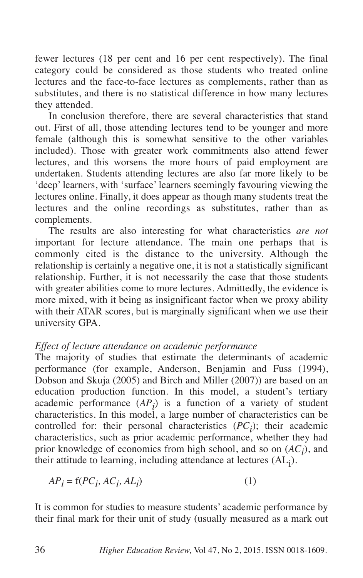fewer lectures (18 per cent and 16 per cent respectively). The final category could be considered as those students who treated online lectures and the face-to-face lectures as complements, rather than as substitutes, and there is no statistical difference in how many lectures they attended.

In conclusion therefore, there are several characteristics that stand out. First of all, those attending lectures tend to be younger and more female (although this is somewhat sensitive to the other variables included). Those with greater work commitments also attend fewer lectures, and this worsens the more hours of paid employment are undertaken. Students attending lectures are also far more likely to be 'deep' learners, with 'surface' learners seemingly favouring viewing the lectures online. Finally, it does appear as though many students treat the lectures and the online recordings as substitutes, rather than as complements.

The results are also interesting for what characteristics *are not* important for lecture attendance. The main one perhaps that is commonly cited is the distance to the university. Although the relationship is certainly a negative one, it is not a statistically significant relationship. Further, it is not necessarily the case that those students with greater abilities come to more lectures. Admittedly, the evidence is more mixed, with it being as insignificant factor when we proxy ability with their ATAR scores, but is marginally significant when we use their university GPA.

# *Effect of lecture attendance on academic performance*

The majority of studies that estimate the determinants of academic performance (for example, Anderson, Benjamin and Fuss (1994), Dobson and Skuja (2005) and Birch and Miller (2007)) are based on an education production function. In this model, a student's tertiary academic performance  $(AP_i)$  is a function of a variety of student characteristics. In this model, a large number of characteristics can be controlled for: their personal characteristics  $(PC_i)$ ; their academic characteristics, such as prior academic performance, whether they had prior knowledge of economics from high school, and so on (*ACi* ), and their attitude to learning, including attendance at lectures (AL<sub>j</sub>).

$$
AP_i = f(PC_i, AC_i, AL_i)
$$
 (1)

It is common for studies to measure students' academic performance by their final mark for their unit of study (usually measured as a mark out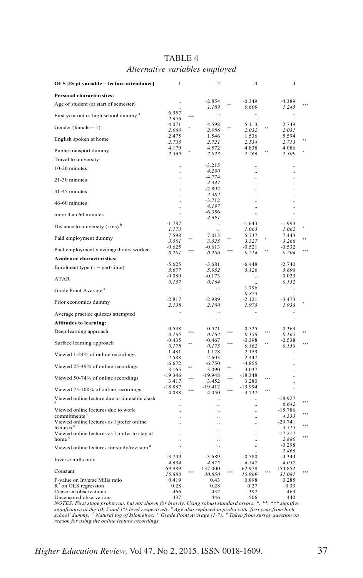| OLS [Dept variable = lecture attendance]                               | 1                                 |          | 2                  |            | 3                                 |     | 4                                            |  |
|------------------------------------------------------------------------|-----------------------------------|----------|--------------------|------------|-----------------------------------|-----|----------------------------------------------|--|
| Personal characteristics:                                              |                                   |          |                    |            |                                   |     |                                              |  |
| Age of student (at start of semester)                                  |                                   |          | $-2.854$<br>1.189  |            | $-0.349$<br>0.609                 |     | $-4.389$<br>1.245                            |  |
| First year out of high school dummy <sup>a</sup>                       | 6.957<br>2.656                    |          |                    |            | $\ddotsc$                         |     |                                              |  |
| Gender (female $= 1$ )                                                 | 4.071<br>2.080                    |          | 4.598<br>2.086     |            | 5.113<br>2.032                    |     | 2.749<br>2.031                               |  |
| English spoken at home                                                 | 2.475<br>2.735                    |          | 1.546<br>2.721     |            | 1.536<br>2.534                    |     | 5.594<br>2.713                               |  |
| Public transport dummy                                                 | 4.179<br>2.365                    |          | 4.572<br>2.823     |            | 4.838<br>2.266                    |     | 4.086<br>2.309                               |  |
| Travel to university:                                                  |                                   |          |                    |            |                                   |     |                                              |  |
| 10-20 minutes                                                          |                                   |          | $-3.215$           |            |                                   |     |                                              |  |
|                                                                        | ä,<br>$\ddot{\phantom{a}}$        |          | 4.290<br>$-4.774$  |            | .,<br>$\ddotsc$                   |     | ä,<br>$\ddot{\phantom{a}}$                   |  |
| 21-30 minutes                                                          | ä,                                |          | 4.347              |            | $\ddot{\phantom{a}}$              |     |                                              |  |
| 31-45 minutes                                                          | $\ddotsc$<br>÷.                   |          | $-2.892$<br>4.382  |            | $\ddot{\phantom{a}}$<br>$\ldots$  |     | $\ddot{\phantom{a}}$<br>$\ddot{\phantom{a}}$ |  |
| 46-60 minutes                                                          | <br>ă,                            |          | $-3.712$<br>4.197  |            | $\ddot{\phantom{0}}$<br>          |     | $\ddot{\phantom{a}}$                         |  |
| more than 60 minutes                                                   |                                   |          | $-6.356$           |            | $\ddotsc$                         |     |                                              |  |
|                                                                        |                                   |          | 4.691              |            |                                   |     |                                              |  |
| Distance to university (kms) <sup>b</sup>                              | $-1.787$<br>1.173                 |          | $\ddotsc$          |            | $-1.643$<br>1.063                 |     | $-1.993$<br>1.062                            |  |
| Paid employment dummy                                                  | 7.598                             | **       | 7.013              | $\ddot{ }$ | 5.737                             |     | 7.443                                        |  |
|                                                                        | 3.501                             |          | 3.525              |            | 3.327                             |     | 3.266                                        |  |
| Paid employment x average hours worked                                 | $-0.625$<br>0.201                 |          | $-0.613$<br>0.206  | ***        | $-0.521$<br>0.214                 |     | $-0.532$<br>0.204                            |  |
| Academic characteristics:                                              |                                   |          |                    |            |                                   |     |                                              |  |
| Enrolment type $(1 = part-time)$                                       | $-5.625$<br>5.677                 |          | $-3.681$<br>5.952  |            | $-6.448$<br>5.126                 |     | $-2.740$<br>5.698                            |  |
| ATAR                                                                   | $-0.080$<br>0.157                 |          | $-0.173$<br>0.164  |            | $\ddotsc$                         |     | 0.023<br>0.152                               |  |
| Grade Point Average <sup>c</sup>                                       |                                   |          | $\ddotsc$          |            | 1.796<br>0.823                    |     | $\ddotsc$                                    |  |
| Prior economics dummy                                                  | $-2.817$<br>2.138                 |          | $-2.989$<br>2.100  |            | $-2.121$<br>1.975                 |     | $-3.473$<br>1.938                            |  |
| Average practice quizzes attempted                                     |                                   |          |                    |            |                                   |     |                                              |  |
| <b>Attitudes to learning:</b>                                          |                                   |          |                    |            | ă,                                |     | ă,                                           |  |
| Deep learning approach                                                 | 0.538<br>0.165                    |          | 0.571<br>0.164     | ***        | 0.525<br>0.158                    |     | 0.369<br>0.165                               |  |
| Surface learning approach                                              | $-0.435$<br>0.178                 | **       | $-0.467$<br>0.175  | $***$      | $-0.398$<br>0.162                 | ××  | $-0.538$<br>0.158                            |  |
| Viewed 1-24% of online recordings                                      | 1.481                             |          | 1.128              |            | 2.159                             |     | $\ddot{\phantom{a}}$                         |  |
|                                                                        | 2.588<br>$-6.672$                 |          | 2.603<br>$-6.750$  |            | 2.447<br>$-4.855$                 |     |                                              |  |
| Viewed 25-49% of online recordings                                     | 3.165                             |          | 3.090              | $\star$    | 3.037                             |     | $\ddot{\phantom{a}}$                         |  |
| Viewed 50-74% of online recordings                                     | $-19.346$                         | $\cdots$ | -19.948            |            | $-18.348$                         |     |                                              |  |
|                                                                        | 3.417<br>$-18.887$                |          | 3.452<br>$-19.412$ |            | 3.280<br>$-19.994$                |     | ä,<br>$\ddot{\phantom{a}}$                   |  |
| Viewed 75-100% of online recordings                                    | 4.088                             |          | 4.050              |            | 3.737                             | *** |                                              |  |
| Viewed online lecture due to timetable clash                           |                                   |          |                    |            |                                   |     | $-18.927$<br>6.642                           |  |
| Viewed online lectures due to work                                     | $\ldots$<br>$\ddot{\phantom{a}}$  |          | ä,                 |            | $\ddot{\phantom{a}}$<br>$\ddotsc$ |     | $-15.786$                                    |  |
| commitments <sup>d</sup>                                               | $\ddot{\phantom{a}}$              |          | ä,                 |            | $\ddot{\phantom{a}}$              |     | 4.333                                        |  |
| Viewed online lectures as I prefer online                              | $\ddot{\phantom{a}}$              |          |                    |            | $\ddotsc$                         |     | -29.741                                      |  |
| lectures <sup>d</sup><br>Viewed online lectures as I prefer to stay at | $\ddot{\phantom{a}}$<br>$\ddotsc$ |          | ÷.<br>$\ddotsc$    |            | $\ddot{\phantom{a}}$<br>$\ddotsc$ |     | 3.515<br>$-17.217$                           |  |
| home <sup>d</sup>                                                      | $\ddot{\phantom{a}}$              |          | ÷.                 |            | $\ddot{\phantom{a}}$              |     | 2.880                                        |  |
| Viewed online lectures for study/revision <sup>d</sup>                 | $\ddotsc$                         |          | $\ddotsc$          |            | $\ddotsc$                         |     | $-0.298$<br>2.466                            |  |
|                                                                        | $-3.749$                          |          | $-3.689$           |            | $-0.580$                          |     | $-4.344$                                     |  |
| Inverse mills ratio                                                    | 4.634                             |          | 4.675              |            | 4.547                             |     | 4.057                                        |  |
| Constant                                                               | 69.989<br>15.880                  | ***      | 137.000<br>30.850  |            | 62.978<br>15.969                  | *** | 154.852<br>31.081                            |  |
| P-value on Inverse Mills ratio                                         | 0.419                             |          | 0.43               |            | 0.898                             |     | 0.285                                        |  |
| $R^2$ on OLS regression                                                | 0.28                              |          | 0.28               |            | 0.27                              |     | 0.33                                         |  |
| Censored observations<br>Uncensored observations                       | 466<br>437                        |          | 437<br>446         |            | 397<br>506                        |     | 463<br>440                                   |  |

#### TABLE 4 *Alternative variables employed*

Uncensored observations (and the way to the state of the solution of the solution of the set of the NOTES: First standard errors: \* \* \* 440<br>NOTES: First stage probit run, but not shown for brevity. Using robust standard er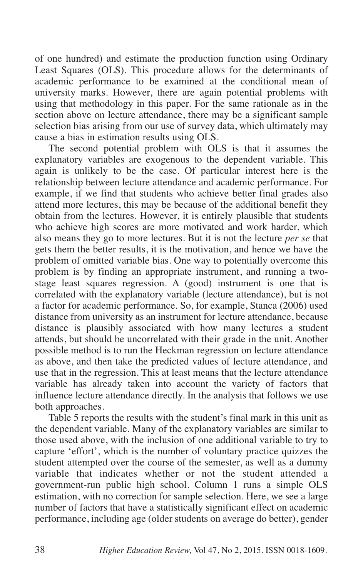of one hundred) and estimate the production function using Ordinary Least Squares (OLS). This procedure allows for the determinants of academic performance to be examined at the conditional mean of university marks. However, there are again potential problems with using that methodology in this paper. For the same rationale as in the section above on lecture attendance, there may be a significant sample selection bias arising from our use of survey data, which ultimately may cause a bias in estimation results using OLS.

The second potential problem with OLS is that it assumes the explanatory variables are exogenous to the dependent variable. This again is unlikely to be the case. Of particular interest here is the relationship between lecture attendance and academic performance. For example, if we find that students who achieve better final grades also attend more lectures, this may be because of the additional benefit they obtain from the lectures. However, it is entirely plausible that students who achieve high scores are more motivated and work harder, which also means they go to more lectures. But it is not the lecture *per se* that gets them the better results, it is the motivation, and hence we have the problem of omitted variable bias. One way to potentially overcome this problem is by finding an appropriate instrument, and running a twostage least squares regression. A (good) instrument is one that is correlated with the explanatory variable (lecture attendance), but is not a factor for academic performance. So, for example, Stanca (2006) used distance from university as an instrument for lecture attendance, because distance is plausibly associated with how many lectures a student attends, but should be uncorrelated with their grade in the unit. Another possible method is to run the Heckman regression on lecture attendance as above, and then take the predicted values of lecture attendance, and use that in the regression. This at least means that the lecture attendance variable has already taken into account the variety of factors that influence lecture attendance directly. In the analysis that follows we use both approaches.

Table 5 reports the results with the student's final mark in this unit as the dependent variable. Many of the explanatory variables are similar to those used above, with the inclusion of one additional variable to try to capture 'effort', which is the number of voluntary practice quizzes the student attempted over the course of the semester, as well as a dummy variable that indicates whether or not the student attended a government-run public high school. Column 1 runs a simple OLS estimation, with no correction for sample selection. Here, we see a large number of factors that have a statistically significant effect on academic performance, including age (older students on average do better), gender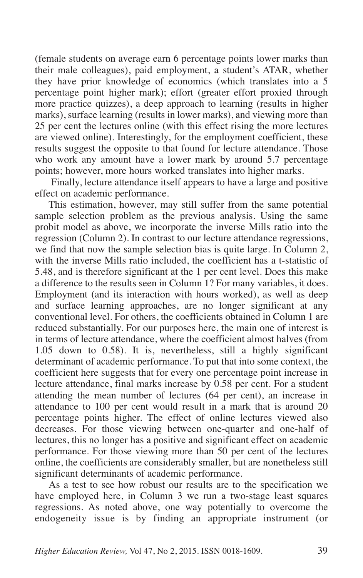(female students on average earn 6 percentage points lower marks than their male colleagues), paid employment, a student's ATAR, whether they have prior knowledge of economics (which translates into a 5 percentage point higher mark); effort (greater effort proxied through more practice quizzes), a deep approach to learning (results in higher marks), surface learning (results in lower marks), and viewing more than 25 per cent the lectures online (with this effect rising the more lectures are viewed online). Interestingly, for the employment coefficient, these results suggest the opposite to that found for lecture attendance. Those who work any amount have a lower mark by around 5.7 percentage points; however, more hours worked translates into higher marks.

Finally, lecture attendance itself appears to have a large and positive effect on academic performance.

This estimation, however, may still suffer from the same potential sample selection problem as the previous analysis. Using the same probit model as above, we incorporate the inverse Mills ratio into the regression (Column 2). In contrast to our lecture attendance regressions, we find that now the sample selection bias is quite large. In Column 2, with the inverse Mills ratio included, the coefficient has a t-statistic of 5.48, and is therefore significant at the 1 per cent level. Does this make a difference to the results seen in Column 1? For many variables, it does. Employment (and its interaction with hours worked), as well as deep and surface learning approaches, are no longer significant at any conventional level. For others, the coefficients obtained in Column 1 are reduced substantially. For our purposes here, the main one of interest is in terms of lecture attendance, where the coefficient almost halves (from 1.05 down to 0.58). It is, nevertheless, still a highly significant determinant of academic performance. To put that into some context, the coefficient here suggests that for every one percentage point increase in lecture attendance, final marks increase by 0.58 per cent. For a student attending the mean number of lectures (64 per cent), an increase in attendance to 100 per cent would result in a mark that is around 20 percentage points higher. The effect of online lectures viewed also decreases. For those viewing between one-quarter and one-half of lectures, this no longer has a positive and significant effect on academic performance. For those viewing more than 50 per cent of the lectures online, the coefficients are considerably smaller, but are nonetheless still significant determinants of academic performance.

As a test to see how robust our results are to the specification we have employed here, in Column 3 we run a two-stage least squares regressions. As noted above, one way potentially to overcome the endogeneity issue is by finding an appropriate instrument (or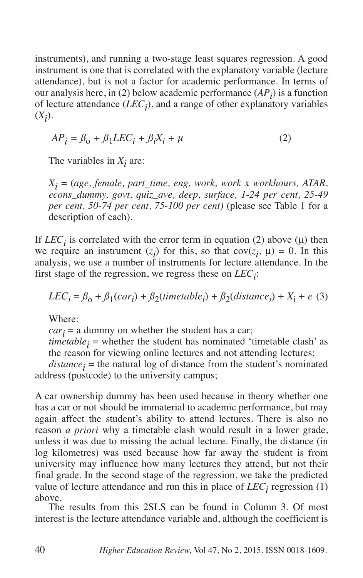instruments), and running a two-stage least squares regression. A good instrument is one that is correlated with the explanatory variable (lecture attendance), but is not a factor for academic performance. In terms of our analysis here, in (2) below academic performance  $(AP_i)$  is a function of lecture attendance  $(LEC_i)$ , and a range of other explanatory variables  $(X_i)$ .

$$
AP_i = \beta_0 + \beta_1 LEC_i + \beta_i X_i + \mu \tag{2}
$$

The variables in  $X_i$  are:

*Xi* = (*age, female, part\_time, eng, work, work x workhours, ATAR, econs\_dummy, govt, quiz\_ave, deep, surface, 1-24 per cent, 25-49 per cent, 50-74 per cent, 75-100 per cent)* (please see Table 1 for a description of each).

If *LEC<sub>i</sub>* is correlated with the error term in equation (2) above ( $\mu$ ) then we require an instrument  $(z_i)$  for this, so that  $cov(z_i, \mu) = 0$ . In this analysis, we use a number of instruments for lecture attendance. In the first stage of the regression, we regress these on  $LEC_i$ :

$$
LEC_i = \beta_0 + \beta_1(car_i) + \beta_2(timetable_i) + \beta_2(distance_i) + X_i + e
$$
 (3)

Where:

 $car<sub>i</sub> = a$  dummy on whether the student has a car;

 $timetable_i$  = whether the student has nominated 'timetable clash' as the reason for viewing online lectures and not attending lectures;

 $distance_i$  = the natural log of distance from the student's nominated address (postcode) to the university campus;

A car ownership dummy has been used because in theory whether one has a car or not should be immaterial to academic performance, but may again affect the student's ability to attend lectures. There is also no reason *a priori* why a timetable clash would result in a lower grade, unless it was due to missing the actual lecture. Finally, the distance (in log kilometres) was used because how far away the student is from university may influence how many lectures they attend, but not their final grade. In the second stage of the regression, we take the predicted value of lecture attendance and run this in place of  $LEC<sub>i</sub>$  regression (1) above.

The results from this 2SLS can be found in Column 3. Of most interest is the lecture attendance variable and, although the coefficient is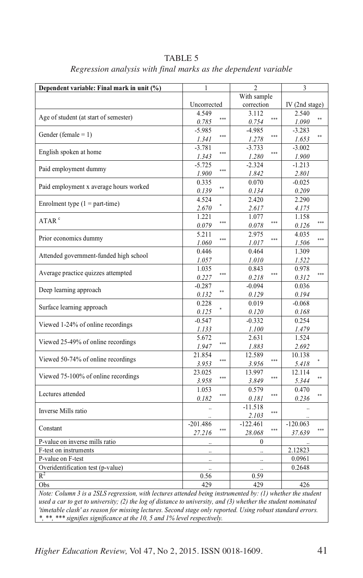| Dependent variable: Final mark in unit (%)                                                                                                                                                                                    | 1                            | 2                   | 3                           |  |  |
|-------------------------------------------------------------------------------------------------------------------------------------------------------------------------------------------------------------------------------|------------------------------|---------------------|-----------------------------|--|--|
|                                                                                                                                                                                                                               |                              | With sample         |                             |  |  |
|                                                                                                                                                                                                                               | Uncorrected                  | correction          | IV (2nd stage)              |  |  |
|                                                                                                                                                                                                                               | 4.549                        | 3.112               | 2.540                       |  |  |
| Age of student (at start of semester)                                                                                                                                                                                         | ***<br>0.785                 | ***<br>0.754        | **<br>1.090                 |  |  |
|                                                                                                                                                                                                                               | $-5.985$                     | $-4.985$            | $-3.283$                    |  |  |
| Gender (female = $1$ )                                                                                                                                                                                                        | ***<br>1.341                 | ***<br>1.278        | **<br>1.653                 |  |  |
| English spoken at home                                                                                                                                                                                                        | $-3.781$                     | $-3.733$            | $-3.002$                    |  |  |
|                                                                                                                                                                                                                               | ***<br>1.343                 | ***<br>1.280        | 1.900                       |  |  |
| Paid employment dummy                                                                                                                                                                                                         | $-5.725$                     | $-2.324$            | $-1.213$                    |  |  |
|                                                                                                                                                                                                                               | ***<br>1.900                 | 1.842               | 2.801                       |  |  |
| Paid employment x average hours worked                                                                                                                                                                                        | 0.335                        | 0.070               | $-0.025$                    |  |  |
|                                                                                                                                                                                                                               | **<br>0.139                  | 0.134               | 0.209                       |  |  |
| Enrolment type $(1 = part-time)$                                                                                                                                                                                              | 4.524                        | 2.420               | 2.290                       |  |  |
|                                                                                                                                                                                                                               | 2.670                        | 2.617               | 4.175                       |  |  |
| ATAR <sup>c</sup>                                                                                                                                                                                                             | 1.221<br>***                 | 1.077<br>***        | 1.158<br>***                |  |  |
|                                                                                                                                                                                                                               | 0.079                        | 0.078               | 0.126                       |  |  |
| Prior economics dummy                                                                                                                                                                                                         | 5.211<br>***                 | 2.975<br>***        | 4.035<br>***                |  |  |
|                                                                                                                                                                                                                               | 1.060                        | 1.017               | 1.506                       |  |  |
| Attended government-funded high school                                                                                                                                                                                        | 0.446                        | 0.464               | 1.309                       |  |  |
|                                                                                                                                                                                                                               | 1.057                        | 1.010               | 1.522                       |  |  |
| Average practice quizzes attempted                                                                                                                                                                                            | 1.035<br>***                 | 0.843<br>***        | 0.978<br>***                |  |  |
|                                                                                                                                                                                                                               | 0.227                        | 0.218               | 0.312                       |  |  |
| Deep learning approach                                                                                                                                                                                                        | $-0.287$<br>**               | $-0.094$            | 0.036                       |  |  |
|                                                                                                                                                                                                                               | 0.132                        | 0.129               | 0.194                       |  |  |
| Surface learning approach                                                                                                                                                                                                     | 0.228                        | 0.019               | $-0.068$                    |  |  |
|                                                                                                                                                                                                                               | 0.125                        | 0.120               | 0.168                       |  |  |
| Viewed 1-24% of online recordings                                                                                                                                                                                             | $-0.547$                     | $-0.332$            | 0.254                       |  |  |
|                                                                                                                                                                                                                               | 1.133                        | 1.100               | 1.479                       |  |  |
| Viewed 25-49% of online recordings                                                                                                                                                                                            | 5.672<br>***                 | 2.631               | 1.524                       |  |  |
|                                                                                                                                                                                                                               | 1.947                        | 1.883               | 2.692                       |  |  |
| Viewed 50-74% of online recordings                                                                                                                                                                                            | 21.854<br>***                | 12.589<br>***       | 10.138                      |  |  |
|                                                                                                                                                                                                                               | 3.953                        | 3.956               | 5.418                       |  |  |
| Viewed 75-100% of online recordings                                                                                                                                                                                           | 23.025<br>***                | 13.997<br>***       | 12.114<br>**                |  |  |
|                                                                                                                                                                                                                               | 3.958                        | 3.849               | 5.344                       |  |  |
| Lectures attended                                                                                                                                                                                                             | 1.053<br>***                 | 0.579<br>***        | 0.470<br>**                 |  |  |
|                                                                                                                                                                                                                               | 0.182                        | 0.181               | 0.236                       |  |  |
| Inverse Mills ratio                                                                                                                                                                                                           | $\ddotsc$                    | $-11.518$<br>***    | $\ddot{\phantom{a}}$        |  |  |
|                                                                                                                                                                                                                               | $-201.486$                   | 2.103<br>$-122.461$ |                             |  |  |
| Constant                                                                                                                                                                                                                      | ***<br>27.216                | ***<br>28.068       | $-120.063$<br>588<br>37.639 |  |  |
| P-value on inverse mills ratio                                                                                                                                                                                                |                              | $\mathbf{0}$        |                             |  |  |
| F-test on instruments                                                                                                                                                                                                         |                              |                     | 2.12823                     |  |  |
| P-value on F-test                                                                                                                                                                                                             |                              |                     | 0.0961                      |  |  |
| Overidentification test (p-value)                                                                                                                                                                                             |                              |                     | 0.2648                      |  |  |
| $R^2$                                                                                                                                                                                                                         | $\ddot{\phantom{a}}$<br>0.56 | 0.59                |                             |  |  |
| Obs                                                                                                                                                                                                                           | 429                          | 429                 |                             |  |  |
|                                                                                                                                                                                                                               |                              |                     | 426                         |  |  |
| Note: Column 3 is a 2SLS regression, with lectures attended being instrumented by: $(1)$ whether the student<br>used a car to get to university; (2) the log of distance to university, and (3) whether the student nominated |                              |                     |                             |  |  |
| 'timetable clash' as reason for missing lectures. Second stage only reported. Using robust standard errors.                                                                                                                   |                              |                     |                             |  |  |
| * ** *** signifies significance at the 10, 5 and 1% level respectively.                                                                                                                                                       |                              |                     |                             |  |  |

TABLE 5 *Regression analysis with final marks as the dependent variable*

*\*, \*\*, \*\*\* signifies significance at the 10, 5 and 1% level respectively.*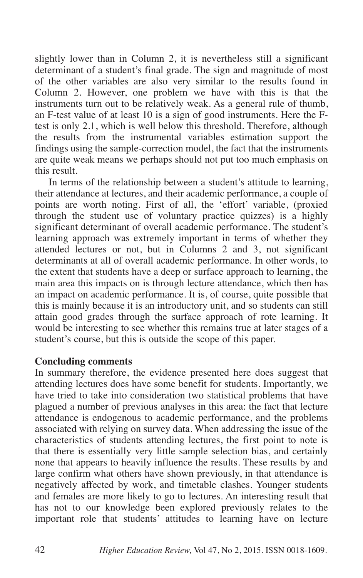slightly lower than in Column 2, it is nevertheless still a significant determinant of a student's final grade. The sign and magnitude of most of the other variables are also very similar to the results found in Column 2. However, one problem we have with this is that the instruments turn out to be relatively weak. As a general rule of thumb, an F-test value of at least 10 is a sign of good instruments. Here the Ftest is only 2.1, which is well below this threshold. Therefore, although the results from the instrumental variables estimation support the findings using the sample-correction model, the fact that the instruments are quite weak means we perhaps should not put too much emphasis on this result.

In terms of the relationship between a student's attitude to learning, their attendance at lectures, and their academic performance, a couple of points are worth noting. First of all, the 'effort' variable, (proxied through the student use of voluntary practice quizzes) is a highly significant determinant of overall academic performance. The student's learning approach was extremely important in terms of whether they attended lectures or not, but in Columns 2 and 3, not significant determinants at all of overall academic performance. In other words, to the extent that students have a deep or surface approach to learning, the main area this impacts on is through lecture attendance, which then has an impact on academic performance. It is, of course, quite possible that this is mainly because it is an introductory unit, and so students can still attain good grades through the surface approach of rote learning. It would be interesting to see whether this remains true at later stages of a student's course, but this is outside the scope of this paper.

### **Concluding comments**

In summary therefore, the evidence presented here does suggest that attending lectures does have some benefit for students. Importantly, we have tried to take into consideration two statistical problems that have plagued a number of previous analyses in this area: the fact that lecture attendance is endogenous to academic performance, and the problems associated with relying on survey data. When addressing the issue of the characteristics of students attending lectures, the first point to note is that there is essentially very little sample selection bias, and certainly none that appears to heavily influence the results. These results by and large confirm what others have shown previously, in that attendance is negatively affected by work, and timetable clashes. Younger students and females are more likely to go to lectures. An interesting result that has not to our knowledge been explored previously relates to the important role that students' attitudes to learning have on lecture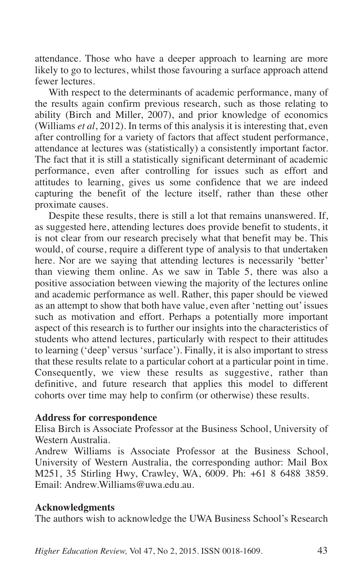attendance. Those who have a deeper approach to learning are more likely to go to lectures, whilst those favouring a surface approach attend fewer lectures.

With respect to the determinants of academic performance, many of the results again confirm previous research, such as those relating to ability (Birch and Miller, 2007), and prior knowledge of economics (Williams *et al*, 2012). In terms of this analysis it is interesting that, even after controlling for a variety of factors that affect student performance, attendance at lectures was (statistically) a consistently important factor. The fact that it is still a statistically significant determinant of academic performance, even after controlling for issues such as effort and attitudes to learning, gives us some confidence that we are indeed capturing the benefit of the lecture itself, rather than these other proximate causes.

Despite these results, there is still a lot that remains unanswered. If, as suggested here, attending lectures does provide benefit to students, it is not clear from our research precisely what that benefit may be. This would, of course, require a different type of analysis to that undertaken here. Nor are we saying that attending lectures is necessarily 'better' than viewing them online. As we saw in Table 5, there was also a positive association between viewing the majority of the lectures online and academic performance as well. Rather, this paper should be viewed as an attempt to show that both have value, even after 'netting out' issues such as motivation and effort. Perhaps a potentially more important aspect of this research is to further our insights into the characteristics of students who attend lectures, particularly with respect to their attitudes to learning ('deep' versus 'surface'). Finally, it is also important to stress that these results relate to a particular cohort at a particular point in time. Consequently, we view these results as suggestive, rather than definitive, and future research that applies this model to different cohorts over time may help to confirm (or otherwise) these results.

### **Address for correspondence**

Elisa Birch is Associate Professor at the Business School, University of Western Australia.

Andrew Williams is Associate Professor at the Business School, University of Western Australia, the corresponding author: Mail Box M251, 35 Stirling Hwy, Crawley, WA, 6009. Ph: +61 8 6488 3859. Email: Andrew.Williams@uwa.edu.au.

### **Acknowledgments**

The authors wish to acknowledge the UWA Business School's Research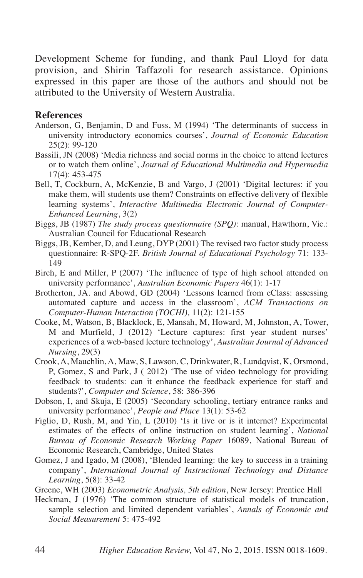Development Scheme for funding, and thank Paul Lloyd for data provision, and Shirin Taffazoli for research assistance. Opinions expressed in this paper are those of the authors and should not be attributed to the University of Western Australia.

### **References**

- Anderson, G, Benjamin, D and Fuss, M (1994) 'The determinants of success in university introductory economics courses', *Journal of Economic Education* 25(2): 99-120
- Bassili, JN (2008) 'Media richness and social norms in the choice to attend lectures or to watch them online', *Journal of Educational Multimedia and Hypermedia* 17(4): 453-475
- Bell, T, Cockburn, A, McKenzie, B and Vargo, J (2001) 'Digital lectures: if you make them, will students use them? Constraints on effective delivery of flexible learning systems', *Interactive Multimedia Electronic Journal of Computer-Enhanced Learning*, 3(2)
- Biggs, JB (1987) *The study process questionnaire (SPQ)*: manual, Hawthorn, Vic.: Australian Council for Educational Research
- Biggs, JB, Kember, D, and Leung, DYP (2001) The revised two factor study process questionnaire: R-SPQ-2F. *British Journal of Educational Psychology* 71: 133- 149
- Birch, E and Miller, P (2007) 'The influence of type of high school attended on university performance', *Australian Economic Papers* 46(1): 1-17
- Brotherton, JA. and Abowd, GD (2004) 'Lessons learned from eClass: assessing automated capture and access in the classroom', *ACM Transactions on Computer-Human Interaction (TOCHI),* 11(2): 121-155
- Cooke, M, Watson, B, Blacklock, E, Mansah, M, Howard, M, Johnston, A, Tower, M and Murfield, J (2012) 'Lecture captures: first year student nurses' experiences of a web-based lecture technology', *Australian Journal of Advanced Nursing*, 29(3)
- Crook, A, Mauchlin, A, Maw, S, Lawson, C, Drinkwater, R, Lundqvist, K, Orsmond, P, Gomez, S and Park, J ( 2012) 'The use of video technology for providing feedback to students: can it enhance the feedback experience for staff and students?', *Computer and Science*, 58: 386-396
- Dobson, I, and Skuja, E (2005) 'Secondary schooling, tertiary entrance ranks and university performance', *People and Place* 13(1): 53-62
- Figlio, D, Rush, M, and Yin, L (2010) 'Is it live or is it internet? Experimental estimates of the effects of online instruction on student learning', *National Bureau of Economic Research Working Paper* 16089, National Bureau of Economic Research, Cambridge, United States
- Gomez, J and Igado, M (2008), 'Blended learning: the key to success in a training company', *International Journal of Instructional Technology and Distance Learning*, 5(8): 33-42
- Greene, WH (2003) *Econometric Analysis, 5th edition*, New Jersey: Prentice Hall
- Heckman, J (1976) 'The common structure of statistical models of truncation, sample selection and limited dependent variables', *Annals of Economic and Social Measurement* 5: 475-492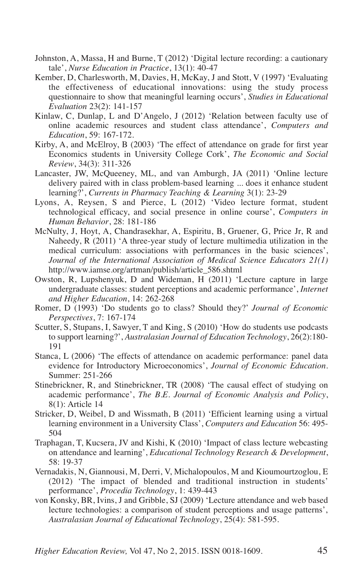- Johnston, A, Massa, H and Burne, T (2012) 'Digital lecture recording: a cautionary tale', *Nurse Education in Practice*, 13(1): 40-47
- Kember, D, Charlesworth, M, Davies, H, McKay, J and Stott, V (1997) 'Evaluating the effectiveness of educational innovations: using the study process questionnaire to show that meaningful learning occurs', *Studies in Educational Evaluation* 23(2): 141-157
- Kinlaw, C, Dunlap, L and D'Angelo, J (2012) 'Relation between faculty use of online academic resources and student class attendance', *Computers and Education*, 59: 167-172.
- Kirby, A, and McElroy, B (2003) 'The effect of attendance on grade for first year Economics students in University College Cork', *The Economic and Social Review*, 34(3): 311-326
- Lancaster, JW, McQueeney, ML, and van Amburgh, JA (2011) 'Online lecture delivery paired with in class problem-based learning ... does it enhance student learning?', *Currents in Pharmacy Teaching & Learning* 3(1): 23-29
- Lyons, A, Reysen, S and Pierce, L (2012) 'Video lecture format, student technological efficacy, and social presence in online course', *Computers in Human Behavior*, 28: 181-186
- McNulty, J, Hoyt, A, Chandrasekhar, A, Espiritu, B, Gruener, G, Price Jr, R and Naheedy, R (2011) 'A three-year study of lecture multimedia utilization in the medical curriculum: associations with performances in the basic sciences', *Journal of the International Association of Medical Science Educators 21(1)* http://www.iamse.org/artman/publish/article\_586.shtml
- Owston, R, Lupshenyuk, D and Wideman, H (2011) 'Lecture capture in large undergraduate classes: student perceptions and academic performance', *Internet and Higher Education*, 14: 262-268
- Romer, D (1993) 'Do students go to class? Should they?' *Journal of Economic Perspectives*, 7: 167-174
- Scutter, S, Stupans, I, Sawyer, T and King, S (2010) 'How do students use podcasts to support learning?', *Australasian Journal of Education Technology*, 26(2):180- 191
- Stanca, L (2006) 'The effects of attendance on academic performance: panel data evidence for Introductory Microeconomics', *Journal of Economic Education*. Summer: 251-266
- Stinebrickner, R, and Stinebrickner, TR (2008) 'The causal effect of studying on academic performance', *The B.E. Journal of Economic Analysis and Policy*, 8(1): Article 14
- Stricker, D, Weibel, D and Wissmath, B (2011) 'Efficient learning using a virtual learning environment in a University Class', *Computers and Education* 56: 495- 504
- Traphagan, T, Kucsera, JV and Kishi, K (2010) 'Impact of class lecture webcasting on attendance and learning', *Educational Technology Research & Development*, 58: 19-37
- Vernadakis, N, Giannousi, M, Derri, V, Michalopoulos, M and Kioumourtzoglou, E (2012) 'The impact of blended and traditional instruction in students' performance', *Procedia Technology*, 1: 439-443
- von Konsky, BR, Ivins, J and Gribble, SJ (2009) 'Lecture attendance and web based lecture technologies: a comparison of student perceptions and usage patterns', *Australasian Journal of Educational Technology*, 25(4): 581-595.

*Higher Education Review,* Vol 47, No 2, 2015. ISSN 0018-1609. 45